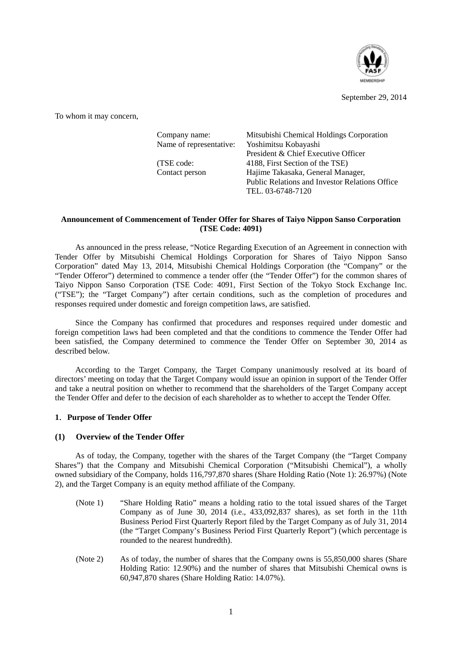

September 29, 2014

To whom it may concern,

| Company name:           | Mitsubishi Chemical Holdings Corporation              |
|-------------------------|-------------------------------------------------------|
| Name of representative: | Yoshimitsu Kobayashi                                  |
|                         | President & Chief Executive Officer                   |
| (TSE code:              | 4188, First Section of the TSE)                       |
| Contact person          | Hajime Takasaka, General Manager,                     |
|                         | <b>Public Relations and Investor Relations Office</b> |
|                         | TEL. 03-6748-7120                                     |
|                         |                                                       |

## **Announcement of Commencement of Tender Offer for Shares of Taiyo Nippon Sanso Corporation (TSE Code: 4091)**

As announced in the press release, "Notice Regarding Execution of an Agreement in connection with Tender Offer by Mitsubishi Chemical Holdings Corporation for Shares of Taiyo Nippon Sanso Corporation" dated May 13, 2014, Mitsubishi Chemical Holdings Corporation (the "Company" or the "Tender Offeror") determined to commence a tender offer (the "Tender Offer") for the common shares of Taiyo Nippon Sanso Corporation (TSE Code: 4091, First Section of the Tokyo Stock Exchange Inc. ("TSE"); the "Target Company") after certain conditions, such as the completion of procedures and responses required under domestic and foreign competition laws, are satisfied.

Since the Company has confirmed that procedures and responses required under domestic and foreign competition laws had been completed and that the conditions to commence the Tender Offer had been satisfied, the Company determined to commence the Tender Offer on September 30, 2014 as described below.

According to the Target Company, the Target Company unanimously resolved at its board of directors' meeting on today that the Target Company would issue an opinion in support of the Tender Offer and take a neutral position on whether to recommend that the shareholders of the Target Company accept the Tender Offer and defer to the decision of each shareholder as to whether to accept the Tender Offer.

# **1**.**Purpose of Tender Offer**

#### **(1) Overview of the Tender Offer**

As of today, the Company, together with the shares of the Target Company (the "Target Company Shares") that the Company and Mitsubishi Chemical Corporation ("Mitsubishi Chemical"), a wholly owned subsidiary of the Company, holds 116,797,870 shares (Share Holding Ratio (Note 1): 26.97%) (Note 2), and the Target Company is an equity method affiliate of the Company.

- (Note 1) "Share Holding Ratio" means a holding ratio to the total issued shares of the Target Company as of June 30, 2014 (i.e.,  $433,092,837$  shares), as set forth in the 11th Business Period First Quarterly Report filed by the Target Company as of July 31, 2014 (the "Target Company's Business Period First Quarterly Report") (which percentage is rounded to the nearest hundredth).
- (Note 2) As of today, the number of shares that the Company owns is 55,850,000 shares (Share Holding Ratio: 12.90%) and the number of shares that Mitsubishi Chemical owns is 60,947,870 shares (Share Holding Ratio: 14.07%).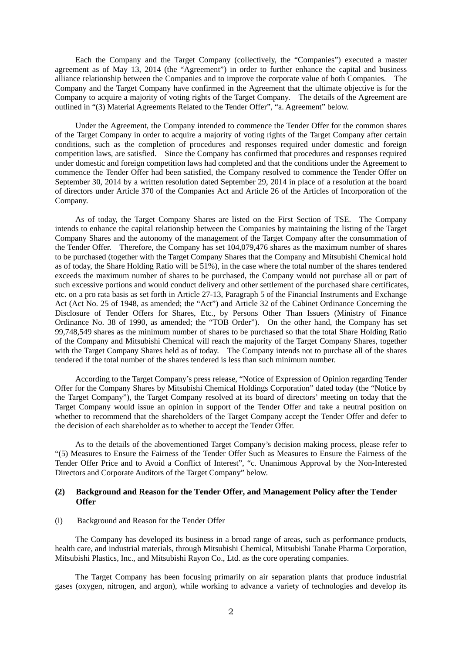Each the Company and the Target Company (collectively, the "Companies") executed a master agreement as of May 13, 2014 (the "Agreement") in order to further enhance the capital and business alliance relationship between the Companies and to improve the corporate value of both Companies. The Company and the Target Company have confirmed in the Agreement that the ultimate objective is for the Company to acquire a majority of voting rights of the Target Company. The details of the Agreement are outlined in "(3) Material Agreements Related to the Tender Offer", "a. Agreement" below.

Under the Agreement, the Company intended to commence the Tender Offer for the common shares of the Target Company in order to acquire a majority of voting rights of the Target Company after certain conditions, such as the completion of procedures and responses required under domestic and foreign competition laws, are satisfied. Since the Company has confirmed that procedures and responses required under domestic and foreign competition laws had completed and that the conditions under the Agreement to commence the Tender Offer had been satisfied, the Company resolved to commence the Tender Offer on September 30, 2014 by a written resolution dated September 29, 2014 in place of a resolution at the board of directors under Article 370 of the Companies Act and Article 26 of the Articles of Incorporation of the Company.

As of today, the Target Company Shares are listed on the First Section of TSE. The Company intends to enhance the capital relationship between the Companies by maintaining the listing of the Target Company Shares and the autonomy of the management of the Target Company after the consummation of the Tender Offer. Therefore, the Company has set 104,079,476 shares as the maximum number of shares to be purchased (together with the Target Company Shares that the Company and Mitsubishi Chemical hold as of today, the Share Holding Ratio will be 51%), in the case where the total number of the shares tendered exceeds the maximum number of shares to be purchased, the Company would not purchase all or part of such excessive portions and would conduct delivery and other settlement of the purchased share certificates, etc. on a pro rata basis as set forth in Article 27-13, Paragraph 5 of the Financial Instruments and Exchange Act (Act No. 25 of 1948, as amended; the "Act") and Article 32 of the Cabinet Ordinance Concerning the Disclosure of Tender Offers for Shares, Etc., by Persons Other Than Issuers (Ministry of Finance Ordinance No. 38 of 1990, as amended; the "TOB Order"). On the other hand, the Company has set 99,748,549 shares as the minimum number of shares to be purchased so that the total Share Holding Ratio of the Company and Mitsubishi Chemical will reach the majority of the Target Company Shares, together with the Target Company Shares held as of today. The Company intends not to purchase all of the shares tendered if the total number of the shares tendered is less than such minimum number.

According to the Target Company's press release, "Notice of Expression of Opinion regarding Tender Offer for the Company Shares by Mitsubishi Chemical Holdings Corporation" dated today (the "Notice by the Target Company"), the Target Company resolved at its board of directors' meeting on today that the Target Company would issue an opinion in support of the Tender Offer and take a neutral position on whether to recommend that the shareholders of the Target Company accept the Tender Offer and defer to the decision of each shareholder as to whether to accept the Tender Offer.

As to the details of the abovementioned Target Company's decision making process, please refer to "(5) Measures to Ensure the Fairness of the Tender Offer Such as Measures to Ensure the Fairness of the Tender Offer Price and to Avoid a Conflict of Interest", "c. Unanimous Approval by the Non-Interested Directors and Corporate Auditors of the Target Company" below.

#### **(2) Background and Reason for the Tender Offer, and Management Policy after the Tender Offer**

#### (i) Background and Reason for the Tender Offer

The Company has developed its business in a broad range of areas, such as performance products, health care, and industrial materials, through Mitsubishi Chemical, Mitsubishi Tanabe Pharma Corporation, Mitsubishi Plastics, Inc., and Mitsubishi Rayon Co., Ltd. as the core operating companies.

The Target Company has been focusing primarily on air separation plants that produce industrial gases (oxygen, nitrogen, and argon), while working to advance a variety of technologies and develop its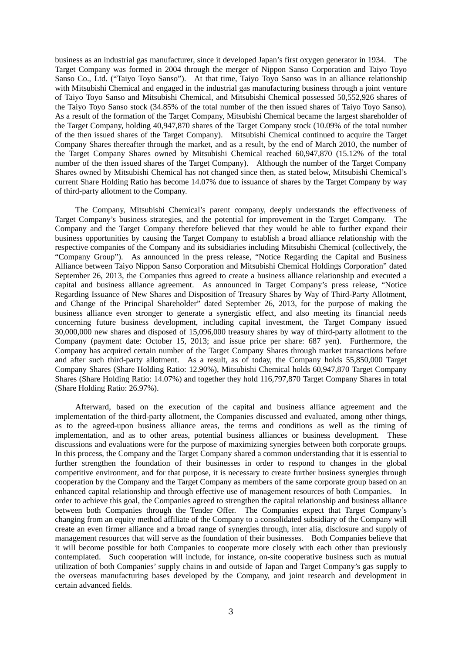business as an industrial gas manufacturer, since it developed Japan's first oxygen generator in 1934. The Target Company was formed in 2004 through the merger of Nippon Sanso Corporation and Taiyo Toyo Sanso Co., Ltd. ("Taiyo Toyo Sanso"). At that time, Taiyo Toyo Sanso was in an alliance relationship with Mitsubishi Chemical and engaged in the industrial gas manufacturing business through a joint venture of Taiyo Toyo Sanso and Mitsubishi Chemical, and Mitsubishi Chemical possessed 50,552,926 shares of the Taiyo Toyo Sanso stock (34.85% of the total number of the then issued shares of Taiyo Toyo Sanso). As a result of the formation of the Target Company, Mitsubishi Chemical became the largest shareholder of the Target Company, holding 40,947,870 shares of the Target Company stock (10.09% of the total number of the then issued shares of the Target Company). Mitsubishi Chemical continued to acquire the Target Company Shares thereafter through the market, and as a result, by the end of March 2010, the number of the Target Company Shares owned by Mitsubishi Chemical reached 60,947,870 (15.12% of the total number of the then issued shares of the Target Company). Although the number of the Target Company Shares owned by Mitsubishi Chemical has not changed since then, as stated below, Mitsubishi Chemical's current Share Holding Ratio has become 14.07% due to issuance of shares by the Target Company by way of third-party allotment to the Company.

The Company, Mitsubishi Chemical's parent company, deeply understands the effectiveness of Target Company's business strategies, and the potential for improvement in the Target Company. The Company and the Target Company therefore believed that they would be able to further expand their business opportunities by causing the Target Company to establish a broad alliance relationship with the respective companies of the Company and its subsidiaries including Mitsubishi Chemical (collectively, the "Company Group"). As announced in the press release, "Notice Regarding the Capital and Business Alliance between Taiyo Nippon Sanso Corporation and Mitsubishi Chemical Holdings Corporation" dated September 26, 2013, the Companies thus agreed to create a business alliance relationship and executed a capital and business alliance agreement. As announced in Target Company's press release, "Notice Regarding Issuance of New Shares and Disposition of Treasury Shares by Way of Third-Party Allotment, and Change of the Principal Shareholder" dated September 26, 2013, for the purpose of making the business alliance even stronger to generate a synergistic effect, and also meeting its financial needs concerning future business development, including capital investment, the Target Company issued 30,000,000 new shares and disposed of 15,096,000 treasury shares by way of third-party allotment to the Company (payment date: October 15, 2013; and issue price per share: 687 yen). Furthermore, the Company has acquired certain number of the Target Company Shares through market transactions before and after such third-party allotment. As a result, as of today, the Company holds 55,850,000 Target Company Shares (Share Holding Ratio: 12.90%), Mitsubishi Chemical holds 60,947,870 Target Company Shares (Share Holding Ratio: 14.07%) and together they hold 116,797,870 Target Company Shares in total (Share Holding Ratio: 26.97%).

Afterward, based on the execution of the capital and business alliance agreement and the implementation of the third-party allotment, the Companies discussed and evaluated, among other things, as to the agreed-upon business alliance areas, the terms and conditions as well as the timing of implementation, and as to other areas, potential business alliances or business development. These discussions and evaluations were for the purpose of maximizing synergies between both corporate groups. In this process, the Company and the Target Company shared a common understanding that it is essential to further strengthen the foundation of their businesses in order to respond to changes in the global competitive environment, and for that purpose, it is necessary to create further business synergies through cooperation by the Company and the Target Company as members of the same corporate group based on an enhanced capital relationship and through effective use of management resources of both Companies. In order to achieve this goal, the Companies agreed to strengthen the capital relationship and business alliance between both Companies through the Tender Offer. The Companies expect that Target Company's changing from an equity method affiliate of the Company to a consolidated subsidiary of the Company will create an even firmer alliance and a broad range of synergies through, inter alia, disclosure and supply of management resources that will serve as the foundation of their businesses. Both Companies believe that it will become possible for both Companies to cooperate more closely with each other than previously contemplated. Such cooperation will include, for instance, on-site cooperative business such as mutual utilization of both Companies' supply chains in and outside of Japan and Target Company's gas supply to the overseas manufacturing bases developed by the Company, and joint research and development in certain advanced fields.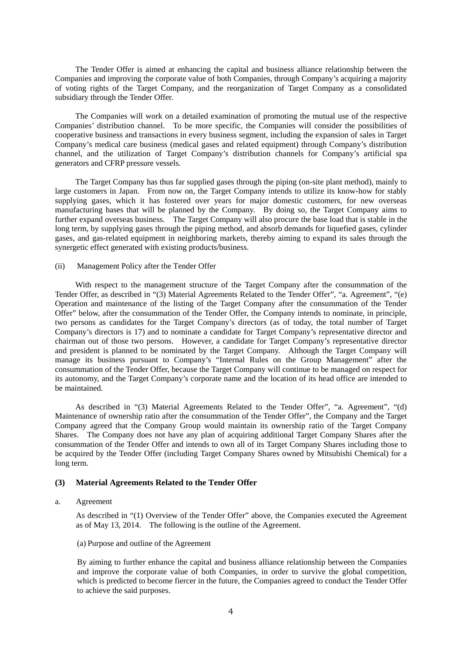The Tender Offer is aimed at enhancing the capital and business alliance relationship between the Companies and improving the corporate value of both Companies, through Company's acquiring a majority of voting rights of the Target Company, and the reorganization of Target Company as a consolidated subsidiary through the Tender Offer.

The Companies will work on a detailed examination of promoting the mutual use of the respective Companies' distribution channel. To be more specific, the Companies will consider the possibilities of cooperative business and transactions in every business segment, including the expansion of sales in Target Company's medical care business (medical gases and related equipment) through Company's distribution channel, and the utilization of Target Company's distribution channels for Company's artificial spa generators and CFRP pressure vessels.

The Target Company has thus far supplied gases through the piping (on-site plant method), mainly to large customers in Japan. From now on, the Target Company intends to utilize its know-how for stably supplying gases, which it has fostered over years for major domestic customers, for new overseas manufacturing bases that will be planned by the Company. By doing so, the Target Company aims to further expand overseas business. The Target Company will also procure the base load that is stable in the long term, by supplying gases through the piping method, and absorb demands for liquefied gases, cylinder gases, and gas-related equipment in neighboring markets, thereby aiming to expand its sales through the synergetic effect generated with existing products/business.

#### (ii) Management Policy after the Tender Offer

With respect to the management structure of the Target Company after the consummation of the Tender Offer, as described in "(3) Material Agreements Related to the Tender Offer", "a. Agreement", "(e) Operation and maintenance of the listing of the Target Company after the consummation of the Tender Offer" below, after the consummation of the Tender Offer, the Company intends to nominate, in principle, two persons as candidates for the Target Company's directors (as of today, the total number of Target Company's directors is 17) and to nominate a candidate for Target Company's representative director and chairman out of those two persons. However, a candidate for Target Company's representative director and president is planned to be nominated by the Target Company. Although the Target Company will manage its business pursuant to Company's "Internal Rules on the Group Management" after the consummation of the Tender Offer, because the Target Company will continue to be managed on respect for its autonomy, and the Target Company's corporate name and the location of its head office are intended to be maintained.

As described in "(3) Material Agreements Related to the Tender Offer", "a. Agreement", "(d) Maintenance of ownership ratio after the consummation of the Tender Offer", the Company and the Target Company agreed that the Company Group would maintain its ownership ratio of the Target Company Shares. The Company does not have any plan of acquiring additional Target Company Shares after the consummation of the Tender Offer and intends to own all of its Target Company Shares including those to be acquired by the Tender Offer (including Target Company Shares owned by Mitsubishi Chemical) for a long term.

# **(3) Material Agreements Related to the Tender Offer**

a. Agreement

As described in "(1) Overview of the Tender Offer" above, the Companies executed the Agreement as of May 13, 2014. The following is the outline of the Agreement.

(a) Purpose and outline of the Agreement

By aiming to further enhance the capital and business alliance relationship between the Companies and improve the corporate value of both Companies, in order to survive the global competition, which is predicted to become fiercer in the future, the Companies agreed to conduct the Tender Offer to achieve the said purposes.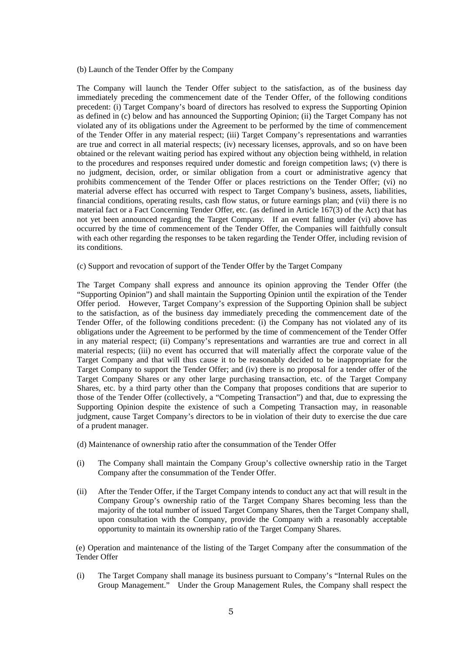#### (b) Launch of the Tender Offer by the Company

The Company will launch the Tender Offer subject to the satisfaction, as of the business day immediately preceding the commencement date of the Tender Offer, of the following conditions precedent: (i) Target Company's board of directors has resolved to express the Supporting Opinion as defined in (c) below and has announced the Supporting Opinion; (ii) the Target Company has not violated any of its obligations under the Agreement to be performed by the time of commencement of the Tender Offer in any material respect; (iii) Target Company's representations and warranties are true and correct in all material respects; (iv) necessary licenses, approvals, and so on have been obtained or the relevant waiting period has expired without any objection being withheld, in relation to the procedures and responses required under domestic and foreign competition laws; (v) there is no judgment, decision, order, or similar obligation from a court or administrative agency that prohibits commencement of the Tender Offer or places restrictions on the Tender Offer; (vi) no material adverse effect has occurred with respect to Target Company's business, assets, liabilities, financial conditions, operating results, cash flow status, or future earnings plan; and (vii) there is no material fact or a Fact Concerning Tender Offer, etc. (as defined in Article 167(3) of the Act) that has not yet been announced regarding the Target Company. If an event falling under (vi) above has occurred by the time of commencement of the Tender Offer, the Companies will faithfully consult with each other regarding the responses to be taken regarding the Tender Offer, including revision of its conditions.

(c) Support and revocation of support of the Tender Offer by the Target Company

The Target Company shall express and announce its opinion approving the Tender Offer (the "Supporting Opinion") and shall maintain the Supporting Opinion until the expiration of the Tender Offer period. However, Target Company's expression of the Supporting Opinion shall be subject to the satisfaction, as of the business day immediately preceding the commencement date of the Tender Offer, of the following conditions precedent: (i) the Company has not violated any of its obligations under the Agreement to be performed by the time of commencement of the Tender Offer in any material respect; (ii) Company's representations and warranties are true and correct in all material respects; (iii) no event has occurred that will materially affect the corporate value of the Target Company and that will thus cause it to be reasonably decided to be inappropriate for the Target Company to support the Tender Offer; and (iv) there is no proposal for a tender offer of the Target Company Shares or any other large purchasing transaction, etc. of the Target Company Shares, etc. by a third party other than the Company that proposes conditions that are superior to those of the Tender Offer (collectively, a "Competing Transaction") and that, due to expressing the Supporting Opinion despite the existence of such a Competing Transaction may, in reasonable judgment, cause Target Company's directors to be in violation of their duty to exercise the due care of a prudent manager.

- (d) Maintenance of ownership ratio after the consummation of the Tender Offer
- (i) The Company shall maintain the Company Group's collective ownership ratio in the Target Company after the consummation of the Tender Offer.
- (ii) After the Tender Offer, if the Target Company intends to conduct any act that will result in the Company Group's ownership ratio of the Target Company Shares becoming less than the majority of the total number of issued Target Company Shares, then the Target Company shall, upon consultation with the Company, provide the Company with a reasonably acceptable opportunity to maintain its ownership ratio of the Target Company Shares.

 (e) Operation and maintenance of the listing of the Target Company after the consummation of the Tender Offer

(i) The Target Company shall manage its business pursuant to Company's "Internal Rules on the Group Management." Under the Group Management Rules, the Company shall respect the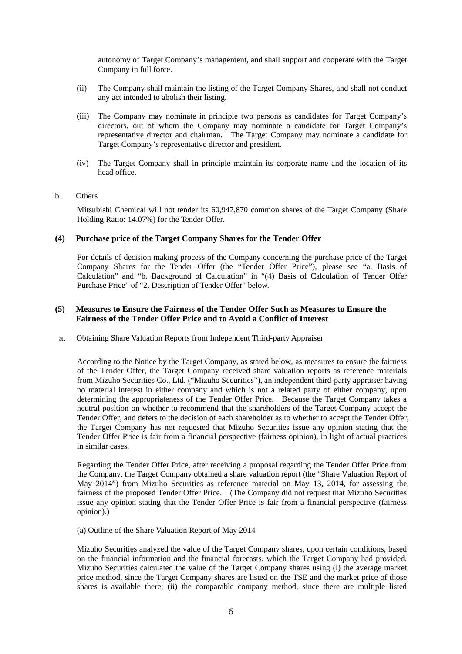autonomy of Target Company's management, and shall support and cooperate with the Target Company in full force.

- (ii) The Company shall maintain the listing of the Target Company Shares, and shall not conduct any act intended to abolish their listing.
- (iii) The Company may nominate in principle two persons as candidates for Target Company's directors, out of whom the Company may nominate a candidate for Target Company's representative director and chairman. The Target Company may nominate a candidate for Target Company's representative director and president.
- (iv) The Target Company shall in principle maintain its corporate name and the location of its head office.

#### b. Others

Mitsubishi Chemical will not tender its 60,947,870 common shares of the Target Company (Share Holding Ratio: 14.07%) for the Tender Offer.

# **(4) Purchase price of the Target Company Shares for the Tender Offer**

For details of decision making process of the Company concerning the purchase price of the Target Company Shares for the Tender Offer (the "Tender Offer Price"), please see "a. Basis of Calculation" and "b. Background of Calculation" in "(4) Basis of Calculation of Tender Offer Purchase Price" of "2. Description of Tender Offer" below.

# **(5) Measures to Ensure the Fairness of the Tender Offer Such as Measures to Ensure the Fairness of the Tender Offer Price and to Avoid a Conflict of Interest**

a. Obtaining Share Valuation Reports from Independent Third-party Appraiser

According to the Notice by the Target Company, as stated below, as measures to ensure the fairness of the Tender Offer, the Target Company received share valuation reports as reference materials from Mizuho Securities Co., Ltd. ("Mizuho Securities"), an independent third-party appraiser having no material interest in either company and which is not a related party of either company, upon determining the appropriateness of the Tender Offer Price. Because the Target Company takes a neutral position on whether to recommend that the shareholders of the Target Company accept the Tender Offer, and defers to the decision of each shareholder as to whether to accept the Tender Offer, the Target Company has not requested that Mizuho Securities issue any opinion stating that the Tender Offer Price is fair from a financial perspective (fairness opinion), in light of actual practices in similar cases.

Regarding the Tender Offer Price, after receiving a proposal regarding the Tender Offer Price from the Company, the Target Company obtained a share valuation report (the "Share Valuation Report of May 2014") from Mizuho Securities as reference material on May 13, 2014, for assessing the fairness of the proposed Tender Offer Price. (The Company did not request that Mizuho Securities issue any opinion stating that the Tender Offer Price is fair from a financial perspective (fairness opinion).)

(a) Outline of the Share Valuation Report of May 2014

Mizuho Securities analyzed the value of the Target Company shares, upon certain conditions, based on the financial information and the financial forecasts, which the Target Company had provided. Mizuho Securities calculated the value of the Target Company shares using (i) the average market price method, since the Target Company shares are listed on the TSE and the market price of those shares is available there; (ii) the comparable company method, since there are multiple listed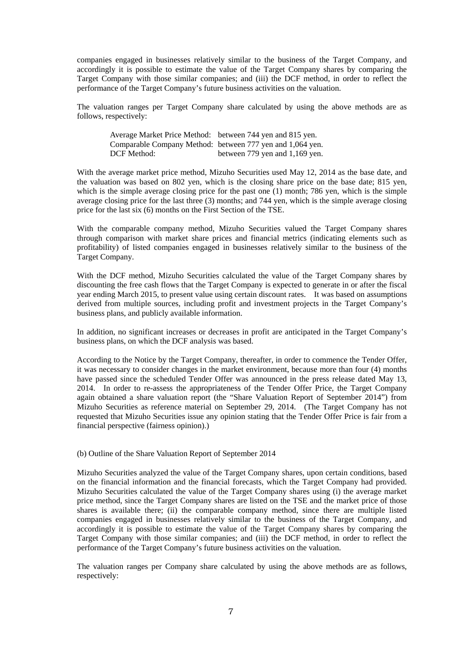companies engaged in businesses relatively similar to the business of the Target Company, and accordingly it is possible to estimate the value of the Target Company shares by comparing the Target Company with those similar companies; and (iii) the DCF method, in order to reflect the performance of the Target Company's future business activities on the valuation.

The valuation ranges per Target Company share calculated by using the above methods are as follows, respectively:

| Average Market Price Method: between 744 yen and 815 yen. |                                                           |
|-----------------------------------------------------------|-----------------------------------------------------------|
|                                                           | Comparable Company Method: between 777 yen and 1,064 yen. |
| DCF Method:                                               | between $779$ yen and $1,169$ yen.                        |

With the average market price method, Mizuho Securities used May 12, 2014 as the base date, and the valuation was based on 802 yen, which is the closing share price on the base date; 815 yen, which is the simple average closing price for the past one (1) month; 786 yen, which is the simple average closing price for the last three (3) months; and 744 yen, which is the simple average closing price for the last six (6) months on the First Section of the TSE.

With the comparable company method, Mizuho Securities valued the Target Company shares through comparison with market share prices and financial metrics (indicating elements such as profitability) of listed companies engaged in businesses relatively similar to the business of the Target Company.

With the DCF method, Mizuho Securities calculated the value of the Target Company shares by discounting the free cash flows that the Target Company is expected to generate in or after the fiscal year ending March 2015, to present value using certain discount rates. It was based on assumptions derived from multiple sources, including profit and investment projects in the Target Company's business plans, and publicly available information.

In addition, no significant increases or decreases in profit are anticipated in the Target Company's business plans, on which the DCF analysis was based.

According to the Notice by the Target Company, thereafter, in order to commence the Tender Offer, it was necessary to consider changes in the market environment, because more than four (4) months have passed since the scheduled Tender Offer was announced in the press release dated May 13, 2014. In order to re-assess the appropriateness of the Tender Offer Price, the Target Company again obtained a share valuation report (the "Share Valuation Report of September 2014") from Mizuho Securities as reference material on September 29, 2014. (The Target Company has not requested that Mizuho Securities issue any opinion stating that the Tender Offer Price is fair from a financial perspective (fairness opinion).)

## (b) Outline of the Share Valuation Report of September 2014

Mizuho Securities analyzed the value of the Target Company shares, upon certain conditions, based on the financial information and the financial forecasts, which the Target Company had provided. Mizuho Securities calculated the value of the Target Company shares using (i) the average market price method, since the Target Company shares are listed on the TSE and the market price of those shares is available there; (ii) the comparable company method, since there are multiple listed companies engaged in businesses relatively similar to the business of the Target Company, and accordingly it is possible to estimate the value of the Target Company shares by comparing the Target Company with those similar companies; and (iii) the DCF method, in order to reflect the performance of the Target Company's future business activities on the valuation.

The valuation ranges per Company share calculated by using the above methods are as follows, respectively: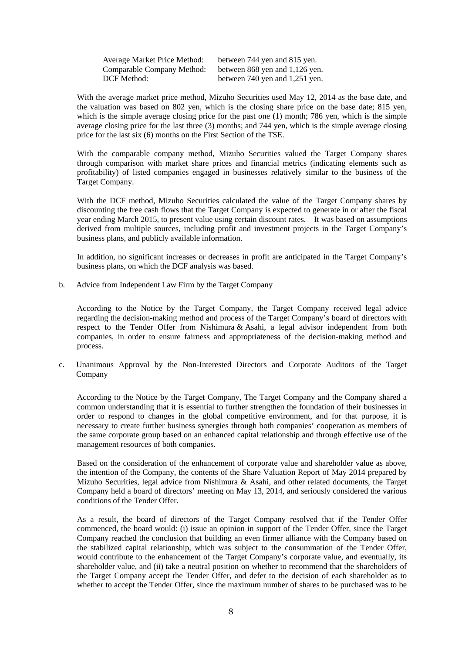| <b>Average Market Price Method:</b> | between 744 yen and 815 yen.     |
|-------------------------------------|----------------------------------|
| Comparable Company Method:          | between 868 yen and $1,126$ yen. |
| DCF Method:                         | between 740 yen and 1,251 yen.   |

With the average market price method, Mizuho Securities used May 12, 2014 as the base date, and the valuation was based on 802 yen, which is the closing share price on the base date; 815 yen, which is the simple average closing price for the past one (1) month; 786 yen, which is the simple average closing price for the last three (3) months; and 744 yen, which is the simple average closing price for the last six (6) months on the First Section of the TSE.

With the comparable company method, Mizuho Securities valued the Target Company shares through comparison with market share prices and financial metrics (indicating elements such as profitability) of listed companies engaged in businesses relatively similar to the business of the Target Company.

With the DCF method, Mizuho Securities calculated the value of the Target Company shares by discounting the free cash flows that the Target Company is expected to generate in or after the fiscal year ending March 2015, to present value using certain discount rates. It was based on assumptions derived from multiple sources, including profit and investment projects in the Target Company's business plans, and publicly available information.

In addition, no significant increases or decreases in profit are anticipated in the Target Company's business plans, on which the DCF analysis was based.

b. Advice from Independent Law Firm by the Target Company

According to the Notice by the Target Company, the Target Company received legal advice regarding the decision-making method and process of the Target Company's board of directors with respect to the Tender Offer from Nishimura & Asahi, a legal advisor independent from both companies, in order to ensure fairness and appropriateness of the decision-making method and process.

c. Unanimous Approval by the Non-Interested Directors and Corporate Auditors of the Target Company

According to the Notice by the Target Company, The Target Company and the Company shared a common understanding that it is essential to further strengthen the foundation of their businesses in order to respond to changes in the global competitive environment, and for that purpose, it is necessary to create further business synergies through both companies' cooperation as members of the same corporate group based on an enhanced capital relationship and through effective use of the management resources of both companies.

Based on the consideration of the enhancement of corporate value and shareholder value as above, the intention of the Company, the contents of the Share Valuation Report of May 2014 prepared by Mizuho Securities, legal advice from Nishimura & Asahi, and other related documents, the Target Company held a board of directors' meeting on May 13, 2014, and seriously considered the various conditions of the Tender Offer.

As a result, the board of directors of the Target Company resolved that if the Tender Offer commenced, the board would: (i) issue an opinion in support of the Tender Offer, since the Target Company reached the conclusion that building an even firmer alliance with the Company based on the stabilized capital relationship, which was subject to the consummation of the Tender Offer, would contribute to the enhancement of the Target Company's corporate value, and eventually, its shareholder value, and (ii) take a neutral position on whether to recommend that the shareholders of the Target Company accept the Tender Offer, and defer to the decision of each shareholder as to whether to accept the Tender Offer, since the maximum number of shares to be purchased was to be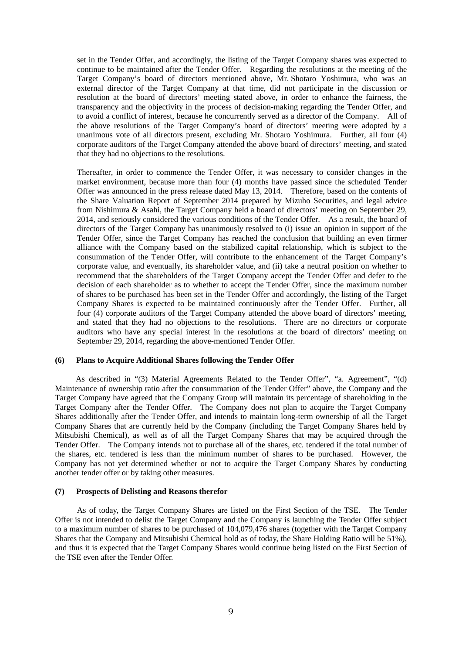set in the Tender Offer, and accordingly, the listing of the Target Company shares was expected to continue to be maintained after the Tender Offer. Regarding the resolutions at the meeting of the Target Company's board of directors mentioned above, Mr. Shotaro Yoshimura, who was an external director of the Target Company at that time, did not participate in the discussion or resolution at the board of directors' meeting stated above, in order to enhance the fairness, the transparency and the objectivity in the process of decision-making regarding the Tender Offer, and to avoid a conflict of interest, because he concurrently served as a director of the Company. All of the above resolutions of the Target Company's board of directors' meeting were adopted by a unanimous vote of all directors present, excluding Mr. Shotaro Yoshimura. Further, all four (4) corporate auditors of the Target Company attended the above board of directors' meeting, and stated that they had no objections to the resolutions.

Thereafter, in order to commence the Tender Offer, it was necessary to consider changes in the market environment, because more than four (4) months have passed since the scheduled Tender Offer was announced in the press release dated May 13, 2014. Therefore, based on the contents of the Share Valuation Report of September 2014 prepared by Mizuho Securities, and legal advice from Nishimura & Asahi, the Target Company held a board of directors' meeting on September 29, 2014, and seriously considered the various conditions of the Tender Offer. As a result, the board of directors of the Target Company has unanimously resolved to (i) issue an opinion in support of the Tender Offer, since the Target Company has reached the conclusion that building an even firmer alliance with the Company based on the stabilized capital relationship, which is subject to the consummation of the Tender Offer, will contribute to the enhancement of the Target Company's corporate value, and eventually, its shareholder value, and (ii) take a neutral position on whether to recommend that the shareholders of the Target Company accept the Tender Offer and defer to the decision of each shareholder as to whether to accept the Tender Offer, since the maximum number of shares to be purchased has been set in the Tender Offer and accordingly, the listing of the Target Company Shares is expected to be maintained continuously after the Tender Offer. Further, all four (4) corporate auditors of the Target Company attended the above board of directors' meeting, and stated that they had no objections to the resolutions. There are no directors or corporate auditors who have any special interest in the resolutions at the board of directors' meeting on September 29, 2014, regarding the above-mentioned Tender Offer.

## **(6) Plans to Acquire Additional Shares following the Tender Offer**

As described in "(3) Material Agreements Related to the Tender Offer", "a. Agreement", "(d) Maintenance of ownership ratio after the consummation of the Tender Offer" above, the Company and the Target Company have agreed that the Company Group will maintain its percentage of shareholding in the Target Company after the Tender Offer. The Company does not plan to acquire the Target Company Shares additionally after the Tender Offer, and intends to maintain long-term ownership of all the Target Company Shares that are currently held by the Company (including the Target Company Shares held by Mitsubishi Chemical), as well as of all the Target Company Shares that may be acquired through the Tender Offer. The Company intends not to purchase all of the shares, etc. tendered if the total number of the shares, etc. tendered is less than the minimum number of shares to be purchased. However, the Company has not yet determined whether or not to acquire the Target Company Shares by conducting another tender offer or by taking other measures.

#### **(7) Prospects of Delisting and Reasons therefor**

As of today, the Target Company Shares are listed on the First Section of the TSE. The Tender Offer is not intended to delist the Target Company and the Company is launching the Tender Offer subject to a maximum number of shares to be purchased of 104,079,476 shares (together with the Target Company Shares that the Company and Mitsubishi Chemical hold as of today, the Share Holding Ratio will be 51%), and thus it is expected that the Target Company Shares would continue being listed on the First Section of the TSE even after the Tender Offer.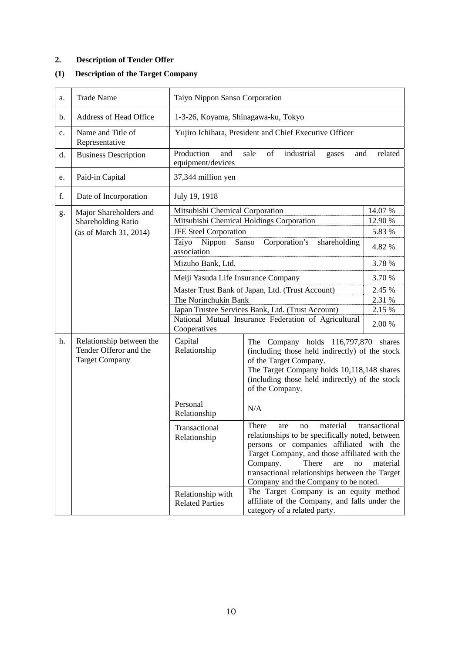# **2. Description of Tender Offer**

# **(1) Description of the Target Company**

| a.                            | <b>Trade Name</b>                                                           | Taiyo Nippon Sanso Corporation                                                                                            |                                                                                                                                                                                                                                                                                                                                         |         |
|-------------------------------|-----------------------------------------------------------------------------|---------------------------------------------------------------------------------------------------------------------------|-----------------------------------------------------------------------------------------------------------------------------------------------------------------------------------------------------------------------------------------------------------------------------------------------------------------------------------------|---------|
| b.                            | <b>Address of Head Office</b>                                               | 1-3-26, Koyama, Shinagawa-ku, Tokyo                                                                                       |                                                                                                                                                                                                                                                                                                                                         |         |
| $\mathbf{c}$ .                | Name and Title of<br>Representative                                         | Yujiro Ichihara, President and Chief Executive Officer                                                                    |                                                                                                                                                                                                                                                                                                                                         |         |
| d.                            | <b>Business Description</b>                                                 | Production<br>and<br>equipment/devices                                                                                    | industrial<br>sale<br>of<br>and<br>gases                                                                                                                                                                                                                                                                                                | related |
| e.                            | Paid-in Capital                                                             | 37,344 million yen                                                                                                        |                                                                                                                                                                                                                                                                                                                                         |         |
| f.                            | Date of Incorporation                                                       | July 19, 1918                                                                                                             |                                                                                                                                                                                                                                                                                                                                         |         |
| g.                            | Major Shareholders and                                                      | 14.07 %<br>Mitsubishi Chemical Corporation                                                                                |                                                                                                                                                                                                                                                                                                                                         |         |
|                               | <b>Shareholding Ratio</b>                                                   |                                                                                                                           | Mitsubishi Chemical Holdings Corporation                                                                                                                                                                                                                                                                                                | 12.90 % |
|                               | (as of March 31, 2014)                                                      | <b>JFE Steel Corporation</b>                                                                                              |                                                                                                                                                                                                                                                                                                                                         | 5.83 %  |
|                               |                                                                             | Taiyo<br>Nippon<br>Sanso<br>Corporation's<br>shareholding<br>4.82 %<br>association                                        |                                                                                                                                                                                                                                                                                                                                         |         |
|                               |                                                                             | 3.78%<br>Mizuho Bank, Ltd.                                                                                                |                                                                                                                                                                                                                                                                                                                                         |         |
|                               |                                                                             | Meiji Yasuda Life Insurance Company                                                                                       |                                                                                                                                                                                                                                                                                                                                         | 3.70 %  |
|                               |                                                                             | Master Trust Bank of Japan, Ltd. (Trust Account)                                                                          |                                                                                                                                                                                                                                                                                                                                         | 2.45 %  |
|                               |                                                                             | The Norinchukin Bank                                                                                                      |                                                                                                                                                                                                                                                                                                                                         | 2.31 %  |
|                               |                                                                             | Japan Trustee Services Bank, Ltd. (Trust Account)<br>National Mutual Insurance Federation of Agricultural<br>Cooperatives |                                                                                                                                                                                                                                                                                                                                         | 2.15 %  |
|                               |                                                                             |                                                                                                                           |                                                                                                                                                                                                                                                                                                                                         | 2.00 %  |
| h.                            | Relationship between the<br>Tender Offeror and the<br><b>Target Company</b> | Capital<br>Relationship                                                                                                   | The Company holds 116,797,870<br>(including those held indirectly) of the stock<br>of the Target Company.<br>The Target Company holds 10,118,148 shares<br>(including those held indirectly) of the stock<br>of the Company.                                                                                                            | shares  |
|                               |                                                                             | Personal<br>Relationship                                                                                                  | N/A                                                                                                                                                                                                                                                                                                                                     |         |
| Transactional<br>Relationship |                                                                             |                                                                                                                           | material<br>transactional<br>There<br>no<br>are<br>relationships to be specifically noted, between<br>persons or companies affiliated with the<br>Target Company, and those affiliated with the<br>Company.<br>There<br>are<br>no<br>material<br>transactional relationships between the Target<br>Company and the Company to be noted. |         |
|                               |                                                                             | Relationship with<br><b>Related Parties</b>                                                                               | The Target Company is an equity method<br>affiliate of the Company, and falls under the<br>category of a related party.                                                                                                                                                                                                                 |         |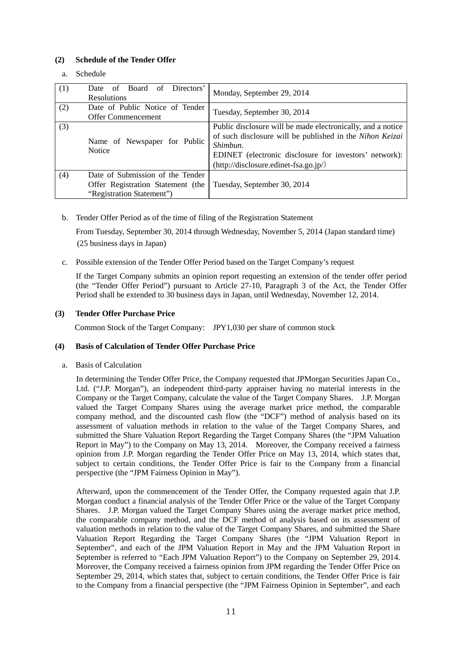# **(2) Schedule of the Tender Offer**

a. Schedule

| (1) | Directors'<br>Board of<br>Date<br>of<br><b>Resolutions</b>                                         | Monday, September 29, 2014                                                                                                                                                                                                                 |
|-----|----------------------------------------------------------------------------------------------------|--------------------------------------------------------------------------------------------------------------------------------------------------------------------------------------------------------------------------------------------|
| (2) | Date of Public Notice of Tender<br>Offer Commencement                                              | Tuesday, September 30, 2014                                                                                                                                                                                                                |
| (3) | Name of Newspaper for Public<br><b>Notice</b>                                                      | Public disclosure will be made electronically, and a notice<br>of such disclosure will be published in the Nihon Keizai<br>Shimbun.<br>EDINET (electronic disclosure for investors' network):<br>$(http://disclosure.eduinet-fsa.gov.jp/)$ |
| (4) | Date of Submission of the Tender<br>Offer Registration Statement (the<br>"Registration Statement") | Tuesday, September 30, 2014                                                                                                                                                                                                                |

b. Tender Offer Period as of the time of filing of the Registration Statement

From Tuesday, September 30, 2014 through Wednesday, November 5, 2014 (Japan standard time) (25 business days in Japan)

c. Possible extension of the Tender Offer Period based on the Target Company's request

If the Target Company submits an opinion report requesting an extension of the tender offer period (the "Tender Offer Period") pursuant to Article 27-10, Paragraph 3 of the Act, the Tender Offer Period shall be extended to 30 business days in Japan, until Wednesday, November 12, 2014.

## **(3) Tender Offer Purchase Price**

Common Stock of the Target Company: JPY1,030 per share of common stock

# **(4) Basis of Calculation of Tender Offer Purchase Price**

a. Basis of Calculation

In determining the Tender Offer Price, the Company requested that JPMorgan Securities Japan Co., Ltd. ("J.P. Morgan"), an independent third-party appraiser having no material interests in the Company or the Target Company, calculate the value of the Target Company Shares. J.P. Morgan valued the Target Company Shares using the average market price method, the comparable company method, and the discounted cash flow (the "DCF") method of analysis based on its assessment of valuation methods in relation to the value of the Target Company Shares, and submitted the Share Valuation Report Regarding the Target Company Shares (the "JPM Valuation Report in May") to the Company on May 13, 2014. Moreover, the Company received a fairness opinion from J.P. Morgan regarding the Tender Offer Price on May 13, 2014, which states that, subject to certain conditions, the Tender Offer Price is fair to the Company from a financial perspective (the "JPM Fairness Opinion in May").

Afterward, upon the commencement of the Tender Offer, the Company requested again that J.P. Morgan conduct a financial analysis of the Tender Offer Price or the value of the Target Company Shares. J.P. Morgan valued the Target Company Shares using the average market price method, the comparable company method, and the DCF method of analysis based on its assessment of valuation methods in relation to the value of the Target Company Shares, and submitted the Share Valuation Report Regarding the Target Company Shares (the "JPM Valuation Report in September", and each of the JPM Valuation Report in May and the JPM Valuation Report in September is referred to "Each JPM Valuation Report") to the Company on September 29, 2014. Moreover, the Company received a fairness opinion from JPM regarding the Tender Offer Price on September 29, 2014, which states that, subject to certain conditions, the Tender Offer Price is fair to the Company from a financial perspective (the "JPM Fairness Opinion in September", and each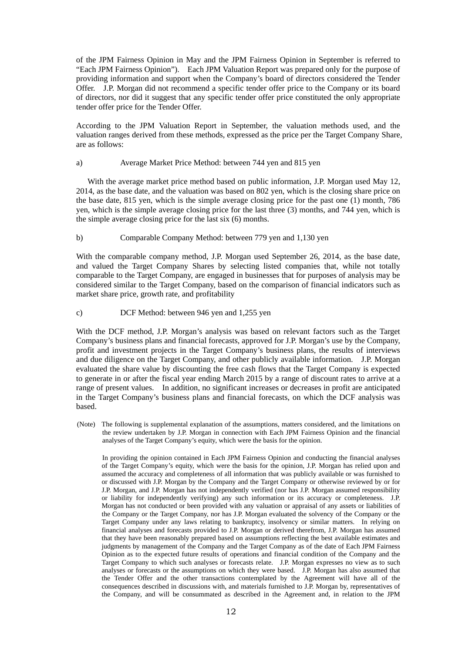of the JPM Fairness Opinion in May and the JPM Fairness Opinion in September is referred to "Each JPM Fairness Opinion"). Each JPM Valuation Report was prepared only for the purpose of providing information and support when the Company's board of directors considered the Tender Offer. J.P. Morgan did not recommend a specific tender offer price to the Company or its board of directors, nor did it suggest that any specific tender offer price constituted the only appropriate tender offer price for the Tender Offer.

According to the JPM Valuation Report in September, the valuation methods used, and the valuation ranges derived from these methods, expressed as the price per the Target Company Share, are as follows:

#### a) Average Market Price Method: between 744 yen and 815 yen

 With the average market price method based on public information, J.P. Morgan used May 12, 2014, as the base date, and the valuation was based on 802 yen, which is the closing share price on the base date, 815 yen, which is the simple average closing price for the past one (1) month, 786 yen, which is the simple average closing price for the last three (3) months, and 744 yen, which is the simple average closing price for the last six (6) months.

#### b) Comparable Company Method: between 779 yen and 1,130 yen

With the comparable company method, J.P. Morgan used September 26, 2014, as the base date, and valued the Target Company Shares by selecting listed companies that, while not totally comparable to the Target Company, are engaged in businesses that for purposes of analysis may be considered similar to the Target Company, based on the comparison of financial indicators such as market share price, growth rate, and profitability

#### c) DCF Method: between 946 yen and 1,255 yen

With the DCF method, J.P. Morgan's analysis was based on relevant factors such as the Target Company's business plans and financial forecasts, approved for J.P. Morgan's use by the Company, profit and investment projects in the Target Company's business plans, the results of interviews and due diligence on the Target Company, and other publicly available information. J.P. Morgan evaluated the share value by discounting the free cash flows that the Target Company is expected to generate in or after the fiscal year ending March 2015 by a range of discount rates to arrive at a range of present values. In addition, no significant increases or decreases in profit are anticipated in the Target Company's business plans and financial forecasts, on which the DCF analysis was based.

(Note) The following is supplemental explanation of the assumptions, matters considered, and the limitations on the review undertaken by J.P. Morgan in connection with Each JPM Fairness Opinion and the financial analyses of the Target Company's equity, which were the basis for the opinion.

In providing the opinion contained in Each JPM Fairness Opinion and conducting the financial analyses of the Target Company's equity, which were the basis for the opinion, J.P. Morgan has relied upon and assumed the accuracy and completeness of all information that was publicly available or was furnished to or discussed with J.P. Morgan by the Company and the Target Company or otherwise reviewed by or for J.P. Morgan, and J.P. Morgan has not independently verified (nor has J.P. Morgan assumed responsibility or liability for independently verifying) any such information or its accuracy or completeness. J.P. Morgan has not conducted or been provided with any valuation or appraisal of any assets or liabilities of the Company or the Target Company, nor has J.P. Morgan evaluated the solvency of the Company or the Target Company under any laws relating to bankruptcy, insolvency or similar matters. In relying on financial analyses and forecasts provided to J.P. Morgan or derived therefrom, J.P. Morgan has assumed that they have been reasonably prepared based on assumptions reflecting the best available estimates and judgments by management of the Company and the Target Company as of the date of Each JPM Fairness Opinion as to the expected future results of operations and financial condition of the Company and the Target Company to which such analyses or forecasts relate. J.P. Morgan expresses no view as to such analyses or forecasts or the assumptions on which they were based. J.P. Morgan has also assumed that the Tender Offer and the other transactions contemplated by the Agreement will have all of the consequences described in discussions with, and materials furnished to J.P. Morgan by, representatives of the Company, and will be consummated as described in the Agreement and, in relation to the JPM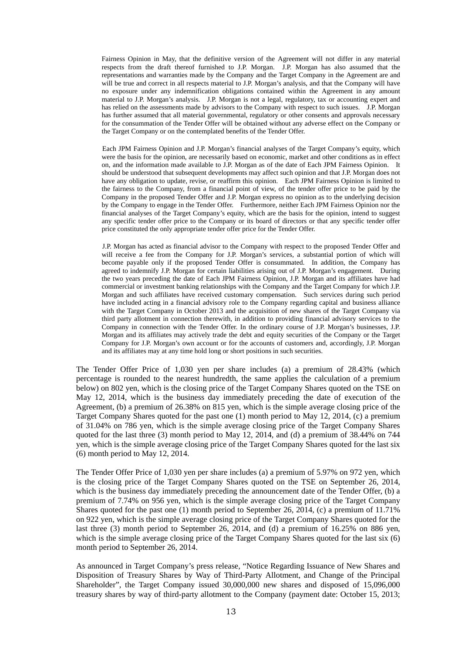Fairness Opinion in May, that the definitive version of the Agreement will not differ in any material respects from the draft thereof furnished to J.P. Morgan. J.P. Morgan has also assumed that the representations and warranties made by the Company and the Target Company in the Agreement are and will be true and correct in all respects material to J.P. Morgan's analysis, and that the Company will have no exposure under any indemnification obligations contained within the Agreement in any amount material to J.P. Morgan's analysis. J.P. Morgan is not a legal, regulatory, tax or accounting expert and has relied on the assessments made by advisors to the Company with respect to such issues. J.P. Morgan has further assumed that all material governmental, regulatory or other consents and approvals necessary for the consummation of the Tender Offer will be obtained without any adverse effect on the Company or the Target Company or on the contemplated benefits of the Tender Offer.

Each JPM Fairness Opinion and J.P. Morgan's financial analyses of the Target Company's equity, which were the basis for the opinion, are necessarily based on economic, market and other conditions as in effect on, and the information made available to J.P. Morgan as of the date of Each JPM Fairness Opinion. It should be understood that subsequent developments may affect such opinion and that J.P. Morgan does not have any obligation to update, revise, or reaffirm this opinion. Each JPM Fairness Opinion is limited to the fairness to the Company, from a financial point of view, of the tender offer price to be paid by the Company in the proposed Tender Offer and J.P. Morgan express no opinion as to the underlying decision by the Company to engage in the Tender Offer. Furthermore, neither Each JPM Fairness Opinion nor the financial analyses of the Target Company's equity, which are the basis for the opinion, intend to suggest any specific tender offer price to the Company or its board of directors or that any specific tender offer price constituted the only appropriate tender offer price for the Tender Offer.

J.P. Morgan has acted as financial advisor to the Company with respect to the proposed Tender Offer and will receive a fee from the Company for J.P. Morgan's services, a substantial portion of which will become payable only if the proposed Tender Offer is consummated. In addition, the Company has agreed to indemnify J.P. Morgan for certain liabilities arising out of J.P. Morgan's engagement. During the two years preceding the date of Each JPM Fairness Opinion, J.P. Morgan and its affiliates have had commercial or investment banking relationships with the Company and the Target Company for which J.P. Morgan and such affiliates have received customary compensation. Such services during such period have included acting in a financial advisory role to the Company regarding capital and business alliance with the Target Company in October 2013 and the acquisition of new shares of the Target Company via third party allotment in connection therewith, in addition to providing financial advisory services to the Company in connection with the Tender Offer. In the ordinary course of J.P. Morgan's businesses, J.P. Morgan and its affiliates may actively trade the debt and equity securities of the Company or the Target Company for J.P. Morgan's own account or for the accounts of customers and, accordingly, J.P. Morgan and its affiliates may at any time hold long or short positions in such securities.

The Tender Offer Price of 1,030 yen per share includes (a) a premium of 28.43% (which percentage is rounded to the nearest hundredth, the same applies the calculation of a premium below) on 802 yen, which is the closing price of the Target Company Shares quoted on the TSE on May 12, 2014, which is the business day immediately preceding the date of execution of the Agreement, (b) a premium of 26.38% on 815 yen, which is the simple average closing price of the Target Company Shares quoted for the past one (1) month period to May 12, 2014, (c) a premium of 31.04% on 786 yen, which is the simple average closing price of the Target Company Shares quoted for the last three (3) month period to May 12, 2014, and (d) a premium of 38.44% on 744 yen, which is the simple average closing price of the Target Company Shares quoted for the last six (6) month period to May 12, 2014.

The Tender Offer Price of 1,030 yen per share includes (a) a premium of 5.97% on 972 yen, which is the closing price of the Target Company Shares quoted on the TSE on September 26, 2014, which is the business day immediately preceding the announcement date of the Tender Offer, (b) a premium of 7.74% on 956 yen, which is the simple average closing price of the Target Company Shares quoted for the past one (1) month period to September 26, 2014, (c) a premium of 11.71% on 922 yen, which is the simple average closing price of the Target Company Shares quoted for the last three (3) month period to September 26, 2014, and (d) a premium of 16.25% on 886 yen, which is the simple average closing price of the Target Company Shares quoted for the last six (6) month period to September 26, 2014.

As announced in Target Company's press release, "Notice Regarding Issuance of New Shares and Disposition of Treasury Shares by Way of Third-Party Allotment, and Change of the Principal Shareholder", the Target Company issued 30,000,000 new shares and disposed of 15,096,000 treasury shares by way of third-party allotment to the Company (payment date: October 15, 2013;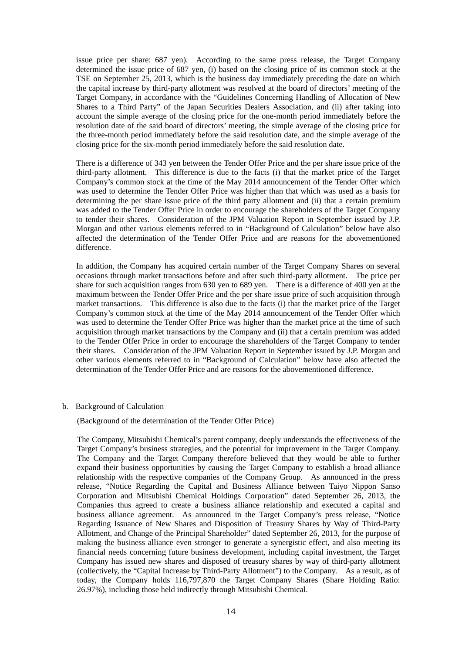issue price per share: 687 yen). According to the same press release, the Target Company determined the issue price of 687 yen, (i) based on the closing price of its common stock at the TSE on September 25, 2013, which is the business day immediately preceding the date on which the capital increase by third-party allotment was resolved at the board of directors' meeting of the Target Company, in accordance with the "Guidelines Concerning Handling of Allocation of New Shares to a Third Party" of the Japan Securities Dealers Association, and (ii) after taking into account the simple average of the closing price for the one-month period immediately before the resolution date of the said board of directors' meeting, the simple average of the closing price for the three-month period immediately before the said resolution date, and the simple average of the closing price for the six-month period immediately before the said resolution date.

There is a difference of 343 yen between the Tender Offer Price and the per share issue price of the third-party allotment. This difference is due to the facts (i) that the market price of the Target Company's common stock at the time of the May 2014 announcement of the Tender Offer which was used to determine the Tender Offer Price was higher than that which was used as a basis for determining the per share issue price of the third party allotment and (ii) that a certain premium was added to the Tender Offer Price in order to encourage the shareholders of the Target Company to tender their shares. Consideration of the JPM Valuation Report in September issued by J.P. Morgan and other various elements referred to in "Background of Calculation" below have also affected the determination of the Tender Offer Price and are reasons for the abovementioned difference.

In addition, the Company has acquired certain number of the Target Company Shares on several occasions through market transactions before and after such third-party allotment. The price per share for such acquisition ranges from 630 yen to 689 yen. There is a difference of 400 yen at the maximum between the Tender Offer Price and the per share issue price of such acquisition through market transactions. This difference is also due to the facts (i) that the market price of the Target Company's common stock at the time of the May 2014 announcement of the Tender Offer which was used to determine the Tender Offer Price was higher than the market price at the time of such acquisition through market transactions by the Company and (ii) that a certain premium was added to the Tender Offer Price in order to encourage the shareholders of the Target Company to tender their shares. Consideration of the JPM Valuation Report in September issued by J.P. Morgan and other various elements referred to in "Background of Calculation" below have also affected the determination of the Tender Offer Price and are reasons for the abovementioned difference.

#### b. Background of Calculation

(Background of the determination of the Tender Offer Price)

The Company, Mitsubishi Chemical's parent company, deeply understands the effectiveness of the Target Company's business strategies, and the potential for improvement in the Target Company. The Company and the Target Company therefore believed that they would be able to further expand their business opportunities by causing the Target Company to establish a broad alliance relationship with the respective companies of the Company Group. As announced in the press release, "Notice Regarding the Capital and Business Alliance between Taiyo Nippon Sanso Corporation and Mitsubishi Chemical Holdings Corporation" dated September 26, 2013, the Companies thus agreed to create a business alliance relationship and executed a capital and business alliance agreement. As announced in the Target Company's press release, "Notice Regarding Issuance of New Shares and Disposition of Treasury Shares by Way of Third-Party Allotment, and Change of the Principal Shareholder" dated September 26, 2013, for the purpose of making the business alliance even stronger to generate a synergistic effect, and also meeting its financial needs concerning future business development, including capital investment, the Target Company has issued new shares and disposed of treasury shares by way of third-party allotment (collectively, the "Capital Increase by Third-Party Allotment") to the Company. As a result, as of today, the Company holds 116,797,870 the Target Company Shares (Share Holding Ratio: 26.97%), including those held indirectly through Mitsubishi Chemical.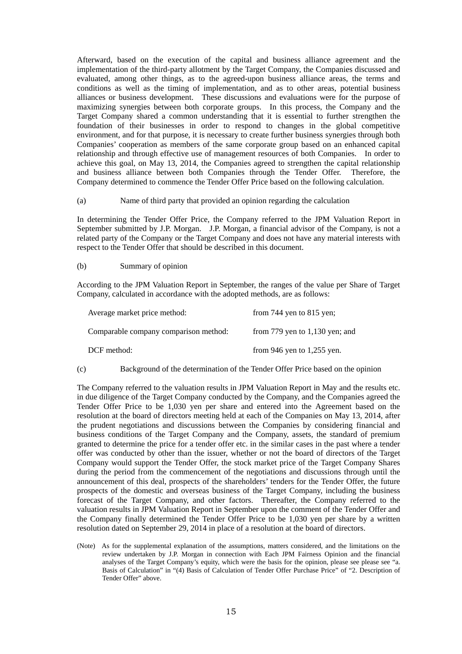Afterward, based on the execution of the capital and business alliance agreement and the implementation of the third-party allotment by the Target Company, the Companies discussed and evaluated, among other things, as to the agreed-upon business alliance areas, the terms and conditions as well as the timing of implementation, and as to other areas, potential business alliances or business development. These discussions and evaluations were for the purpose of maximizing synergies between both corporate groups. In this process, the Company and the Target Company shared a common understanding that it is essential to further strengthen the foundation of their businesses in order to respond to changes in the global competitive environment, and for that purpose, it is necessary to create further business synergies through both Companies' cooperation as members of the same corporate group based on an enhanced capital relationship and through effective use of management resources of both Companies. In order to achieve this goal, on May 13, 2014, the Companies agreed to strengthen the capital relationship and business alliance between both Companies through the Tender Offer. Therefore, the Company determined to commence the Tender Offer Price based on the following calculation.

(a) Name of third party that provided an opinion regarding the calculation

In determining the Tender Offer Price, the Company referred to the JPM Valuation Report in September submitted by J.P. Morgan. J.P. Morgan, a financial advisor of the Company, is not a related party of the Company or the Target Company and does not have any material interests with respect to the Tender Offer that should be described in this document.

(b) Summary of opinion

According to the JPM Valuation Report in September, the ranges of the value per Share of Target Company, calculated in accordance with the adopted methods, are as follows:

| Average market price method:          | from 744 yen to 815 yen;         |
|---------------------------------------|----------------------------------|
| Comparable company comparison method: | from 779 yen to $1,130$ yen; and |
| DCF method:                           | from 946 yen to $1,255$ yen.     |

(c) Background of the determination of the Tender Offer Price based on the opinion

The Company referred to the valuation results in JPM Valuation Report in May and the results etc. in due diligence of the Target Company conducted by the Company, and the Companies agreed the Tender Offer Price to be 1,030 yen per share and entered into the Agreement based on the resolution at the board of directors meeting held at each of the Companies on May 13, 2014, after the prudent negotiations and discussions between the Companies by considering financial and business conditions of the Target Company and the Company, assets, the standard of premium granted to determine the price for a tender offer etc. in the similar cases in the past where a tender offer was conducted by other than the issuer, whether or not the board of directors of the Target Company would support the Tender Offer, the stock market price of the Target Company Shares during the period from the commencement of the negotiations and discussions through until the announcement of this deal, prospects of the shareholders' tenders for the Tender Offer, the future prospects of the domestic and overseas business of the Target Company, including the business forecast of the Target Company, and other factors. Thereafter, the Company referred to the valuation results in JPM Valuation Report in September upon the comment of the Tender Offer and the Company finally determined the Tender Offer Price to be 1,030 yen per share by a written resolution dated on September 29, 2014 in place of a resolution at the board of directors.

(Note) As for the supplemental explanation of the assumptions, matters considered, and the limitations on the review undertaken by J.P. Morgan in connection with Each JPM Fairness Opinion and the financial analyses of the Target Company's equity, which were the basis for the opinion, please see please see "a. Basis of Calculation" in "(4) Basis of Calculation of Tender Offer Purchase Price" of "2. Description of Tender Offer" above.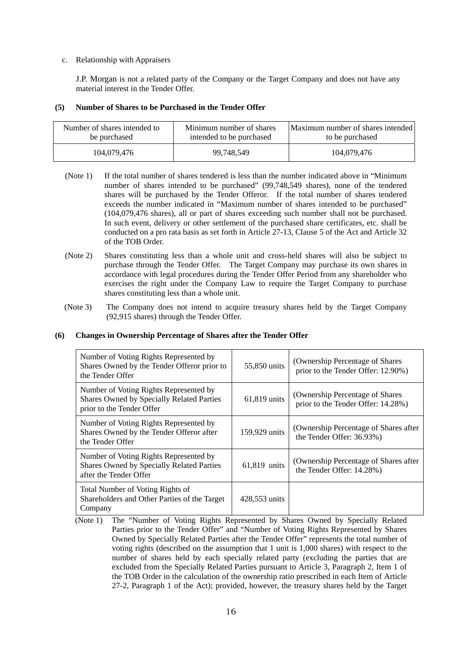## c. Relationship with Appraisers

J.P. Morgan is not a related party of the Company or the Target Company and does not have any material interest in the Tender Offer.

# **(5) Number of Shares to be Purchased in the Tender Offer**

| Number of shares intended to | Minimum number of shares | Maximum number of shares intended |
|------------------------------|--------------------------|-----------------------------------|
| be purchased                 | intended to be purchased | to be purchased                   |
| 104.079.476                  | 99,748,549               | 104,079,476                       |

- (Note 1) If the total number of shares tendered is less than the number indicated above in "Minimum number of shares intended to be purchased" (99,748,549 shares), none of the tendered shares will be purchased by the Tender Offeror. If the total number of shares tendered exceeds the number indicated in "Maximum number of shares intended to be purchased" (104,079,476 shares), all or part of shares exceeding such number shall not be purchased. In such event, delivery or other settlement of the purchased share certificates, etc. shall be conducted on a pro rata basis as set forth in Article 27-13, Clause 5 of the Act and Article 32 of the TOB Order.
- (Note 2) Shares constituting less than a whole unit and cross-held shares will also be subject to purchase through the Tender Offer. The Target Company may purchase its own shares in accordance with legal procedures during the Tender Offer Period from any shareholder who exercises the right under the Company Law to require the Target Company to purchase shares constituting less than a whole unit.
- (Note 3) The Company does not intend to acquire treasury shares held by the Target Company (92,915 shares) through the Tender Offer.

# **(6) Changes in Ownership Percentage of Shares after the Tender Offer**

| Number of Voting Rights Represented by<br>Shares Owned by the Tender Offeror prior to<br>the Tender Offer               | 55,850 units  | (Ownership Percentage of Shares)<br>prior to the Tender Offer: 12.90%) |
|-------------------------------------------------------------------------------------------------------------------------|---------------|------------------------------------------------------------------------|
| Number of Voting Rights Represented by<br><b>Shares Owned by Specially Related Parties</b><br>prior to the Tender Offer | 61,819 units  | (Ownership Percentage of Shares)<br>prior to the Tender Offer: 14.28%) |
| Number of Voting Rights Represented by<br>Shares Owned by the Tender Offeror after<br>the Tender Offer                  | 159,929 units | (Ownership Percentage of Shares after)<br>the Tender Offer: 36.93%)    |
| Number of Voting Rights Represented by<br><b>Shares Owned by Specially Related Parties</b><br>after the Tender Offer    | 61,819 units  | (Ownership Percentage of Shares after)<br>the Tender Offer: 14.28%)    |
| Total Number of Voting Rights of<br>Shareholders and Other Parties of the Target<br>Company                             | 428,553 units |                                                                        |

<sup>(</sup>Note 1) The "Number of Voting Rights Represented by Shares Owned by Specially Related Parties prior to the Tender Offer" and "Number of Voting Rights Represented by Shares Owned by Specially Related Parties after the Tender Offer" represents the total number of voting rights (described on the assumption that 1 unit is 1,000 shares) with respect to the number of shares held by each specially related party (excluding the parties that are excluded from the Specially Related Parties pursuant to Article 3, Paragraph 2, Item 1 of the TOB Order in the calculation of the ownership ratio prescribed in each Item of Article 27-2, Paragraph 1 of the Act); provided, however, the treasury shares held by the Target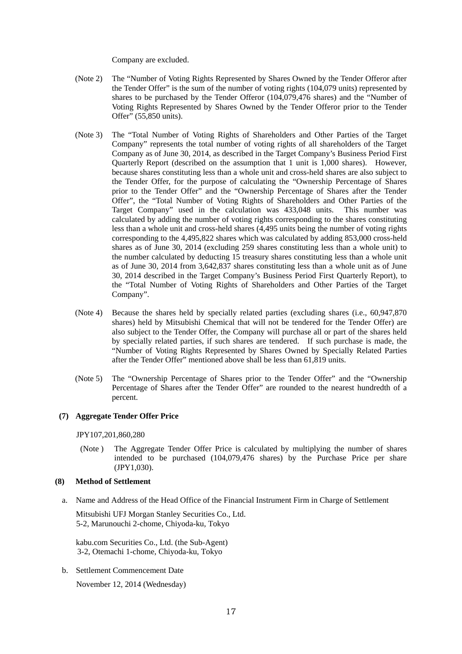Company are excluded.

- (Note 2) The "Number of Voting Rights Represented by Shares Owned by the Tender Offeror after the Tender Offer" is the sum of the number of voting rights (104,079 units) represented by shares to be purchased by the Tender Offeror (104,079,476 shares) and the "Number of Voting Rights Represented by Shares Owned by the Tender Offeror prior to the Tender Offer" (55,850 units).
- (Note 3) The "Total Number of Voting Rights of Shareholders and Other Parties of the Target Company" represents the total number of voting rights of all shareholders of the Target Company as of June 30, 2014, as described in the Target Company's Business Period First Quarterly Report (described on the assumption that 1 unit is 1,000 shares). However, because shares constituting less than a whole unit and cross-held shares are also subject to the Tender Offer, for the purpose of calculating the "Ownership Percentage of Shares prior to the Tender Offer" and the "Ownership Percentage of Shares after the Tender Offer", the "Total Number of Voting Rights of Shareholders and Other Parties of the Target Company" used in the calculation was 433,048 units. This number was calculated by adding the number of voting rights corresponding to the shares constituting less than a whole unit and cross-held shares (4,495 units being the number of voting rights corresponding to the 4,495,822 shares which was calculated by adding 853,000 cross-held shares as of June 30, 2014 (excluding 259 shares constituting less than a whole unit) to the number calculated by deducting 15 treasury shares constituting less than a whole unit as of June 30, 2014 from 3,642,837 shares constituting less than a whole unit as of June 30, 2014 described in the Target Company's Business Period First Quarterly Report), to the "Total Number of Voting Rights of Shareholders and Other Parties of the Target Company".
- (Note 4) Because the shares held by specially related parties (excluding shares (i.e., 60,947,870 shares) held by Mitsubishi Chemical that will not be tendered for the Tender Offer) are also subject to the Tender Offer, the Company will purchase all or part of the shares held by specially related parties, if such shares are tendered. If such purchase is made, the "Number of Voting Rights Represented by Shares Owned by Specially Related Parties after the Tender Offer" mentioned above shall be less than 61,819 units.
- (Note 5) The "Ownership Percentage of Shares prior to the Tender Offer" and the "Ownership Percentage of Shares after the Tender Offer" are rounded to the nearest hundredth of a percent.

# **(7) Aggregate Tender Offer Price**

JPY107,201,860,280

 (Note ) The Aggregate Tender Offer Price is calculated by multiplying the number of shares intended to be purchased (104,079,476 shares) by the Purchase Price per share (JPY1,030).

#### **(8) Method of Settlement**

a. Name and Address of the Head Office of the Financial Instrument Firm in Charge of Settlement

Mitsubishi UFJ Morgan Stanley Securities Co., Ltd. 5-2, Marunouchi 2-chome, Chiyoda-ku, Tokyo

kabu.com Securities Co., Ltd. (the Sub-Agent) 3-2, Otemachi 1-chome, Chiyoda-ku, Tokyo

b. Settlement Commencement Date

November 12, 2014 (Wednesday)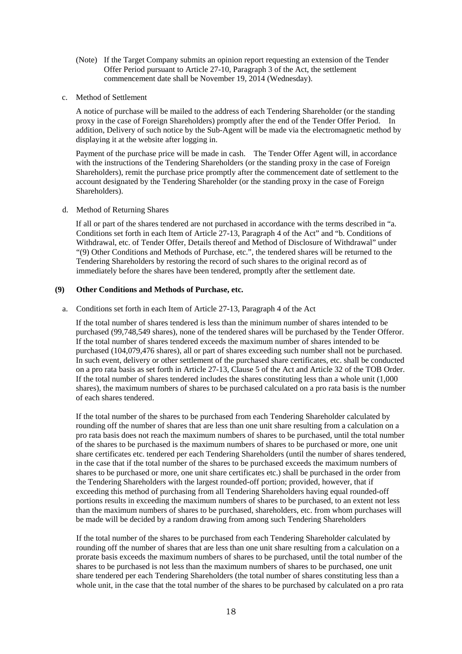- (Note) If the Target Company submits an opinion report requesting an extension of the Tender Offer Period pursuant to Article 27-10, Paragraph 3 of the Act, the settlement commencement date shall be November 19, 2014 (Wednesday).
- c. Method of Settlement

A notice of purchase will be mailed to the address of each Tendering Shareholder (or the standing proxy in the case of Foreign Shareholders) promptly after the end of the Tender Offer Period. In addition, Delivery of such notice by the Sub-Agent will be made via the electromagnetic method by displaying it at the website after logging in.

Payment of the purchase price will be made in cash. The Tender Offer Agent will, in accordance with the instructions of the Tendering Shareholders (or the standing proxy in the case of Foreign Shareholders), remit the purchase price promptly after the commencement date of settlement to the account designated by the Tendering Shareholder (or the standing proxy in the case of Foreign Shareholders).

d. Method of Returning Shares

If all or part of the shares tendered are not purchased in accordance with the terms described in "a. Conditions set forth in each Item of Article 27-13, Paragraph 4 of the Act" and "b. Conditions of Withdrawal, etc. of Tender Offer, Details thereof and Method of Disclosure of Withdrawal" under "(9) Other Conditions and Methods of Purchase, etc.", the tendered shares will be returned to the Tendering Shareholders by restoring the record of such shares to the original record as of immediately before the shares have been tendered, promptly after the settlement date.

## **(9) Other Conditions and Methods of Purchase, etc.**

a. Conditions set forth in each Item of Article 27-13, Paragraph 4 of the Act

If the total number of shares tendered is less than the minimum number of shares intended to be purchased (99,748,549 shares), none of the tendered shares will be purchased by the Tender Offeror. If the total number of shares tendered exceeds the maximum number of shares intended to be purchased (104,079,476 shares), all or part of shares exceeding such number shall not be purchased. In such event, delivery or other settlement of the purchased share certificates, etc. shall be conducted on a pro rata basis as set forth in Article 27-13, Clause 5 of the Act and Article 32 of the TOB Order. If the total number of shares tendered includes the shares constituting less than a whole unit (1,000 shares), the maximum numbers of shares to be purchased calculated on a pro rata basis is the number of each shares tendered.

If the total number of the shares to be purchased from each Tendering Shareholder calculated by rounding off the number of shares that are less than one unit share resulting from a calculation on a pro rata basis does not reach the maximum numbers of shares to be purchased, until the total number of the shares to be purchased is the maximum numbers of shares to be purchased or more, one unit share certificates etc. tendered per each Tendering Shareholders (until the number of shares tendered, in the case that if the total number of the shares to be purchased exceeds the maximum numbers of shares to be purchased or more, one unit share certificates etc.) shall be purchased in the order from the Tendering Shareholders with the largest rounded-off portion; provided, however, that if exceeding this method of purchasing from all Tendering Shareholders having equal rounded-off portions results in exceeding the maximum numbers of shares to be purchased, to an extent not less than the maximum numbers of shares to be purchased, shareholders, etc. from whom purchases will be made will be decided by a random drawing from among such Tendering Shareholders

If the total number of the shares to be purchased from each Tendering Shareholder calculated by rounding off the number of shares that are less than one unit share resulting from a calculation on a prorate basis exceeds the maximum numbers of shares to be purchased, until the total number of the shares to be purchased is not less than the maximum numbers of shares to be purchased, one unit share tendered per each Tendering Shareholders (the total number of shares constituting less than a whole unit, in the case that the total number of the shares to be purchased by calculated on a pro rata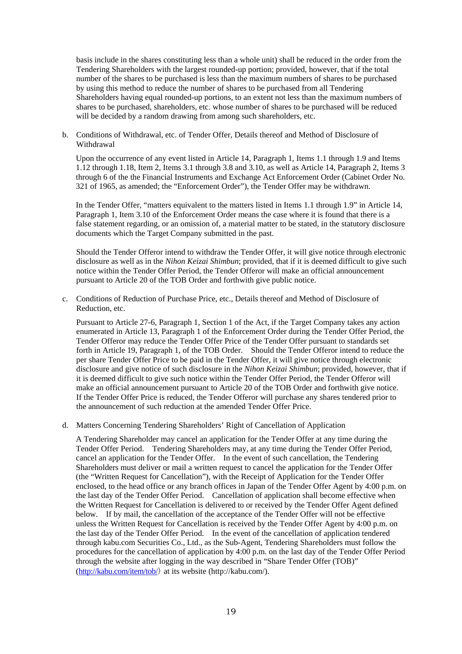basis include in the shares constituting less than a whole unit) shall be reduced in the order from the Tendering Shareholders with the largest rounded-up portion; provided, however, that if the total number of the shares to be purchased is less than the maximum numbers of shares to be purchased by using this method to reduce the number of shares to be purchased from all Tendering Shareholders having equal rounded-up portions, to an extent not less than the maximum numbers of shares to be purchased, shareholders, etc. whose number of shares to be purchased will be reduced will be decided by a random drawing from among such shareholders, etc.

b. Conditions of Withdrawal, etc. of Tender Offer, Details thereof and Method of Disclosure of Withdrawal

Upon the occurrence of any event listed in Article 14, Paragraph 1, Items 1.1 through 1.9 and Items 1.12 through 1.18, Item 2, Items 3.1 through 3.8 and 3.10, as well as Article 14, Paragraph 2, Items 3 through 6 of the the Financial Instruments and Exchange Act Enforcement Order (Cabinet Order No. 321 of 1965, as amended; the "Enforcement Order"), the Tender Offer may be withdrawn.

In the Tender Offer, "matters equivalent to the matters listed in Items 1.1 through 1.9" in Article 14, Paragraph 1, Item 3.10 of the Enforcement Order means the case where it is found that there is a false statement regarding, or an omission of, a material matter to be stated, in the statutory disclosure documents which the Target Company submitted in the past.

Should the Tender Offeror intend to withdraw the Tender Offer, it will give notice through electronic disclosure as well as in the *Nihon Keizai Shimbun*; provided, that if it is deemed difficult to give such notice within the Tender Offer Period, the Tender Offeror will make an official announcement pursuant to Article 20 of the TOB Order and forthwith give public notice.

c. Conditions of Reduction of Purchase Price, etc., Details thereof and Method of Disclosure of Reduction, etc.

Pursuant to Article 27-6, Paragraph 1, Section 1 of the Act, if the Target Company takes any action enumerated in Article 13, Paragraph 1 of the Enforcement Order during the Tender Offer Period, the Tender Offeror may reduce the Tender Offer Price of the Tender Offer pursuant to standards set forth in Article 19, Paragraph 1, of the TOB Order. Should the Tender Offeror intend to reduce the per share Tender Offer Price to be paid in the Tender Offer, it will give notice through electronic disclosure and give notice of such disclosure in the *Nihon Keizai Shimbun*; provided, however, that if it is deemed difficult to give such notice within the Tender Offer Period, the Tender Offeror will make an official announcement pursuant to Article 20 of the TOB Order and forthwith give notice. If the Tender Offer Price is reduced, the Tender Offeror will purchase any shares tendered prior to the announcement of such reduction at the amended Tender Offer Price.

d. Matters Concerning Tendering Shareholders' Right of Cancellation of Application

A Tendering Shareholder may cancel an application for the Tender Offer at any time during the Tender Offer Period. Tendering Shareholders may, at any time during the Tender Offer Period, cancel an application for the Tender Offer. In the event of such cancellation, the Tendering Shareholders must deliver or mail a written request to cancel the application for the Tender Offer (the "Written Request for Cancellation"), with the Receipt of Application for the Tender Offer enclosed, to the head office or any branch offices in Japan of the Tender Offer Agent by 4:00 p.m. on the last day of the Tender Offer Period. Cancellation of application shall become effective when the Written Request for Cancellation is delivered to or received by the Tender Offer Agent defined below. If by mail, the cancellation of the acceptance of the Tender Offer will not be effective unless the Written Request for Cancellation is received by the Tender Offer Agent by 4:00 p.m. on the last day of the Tender Offer Period. In the event of the cancellation of application tendered through kabu.com Securities Co., Ltd., as the Sub-Agent, Tendering Shareholders must follow the procedures for the cancellation of application by 4:00 p.m. on the last day of the Tender Offer Period through the website after logging in the way described in "Share Tender Offer (TOB)" (http://kabu.com/item/tob/) at its website (http://kabu.com/).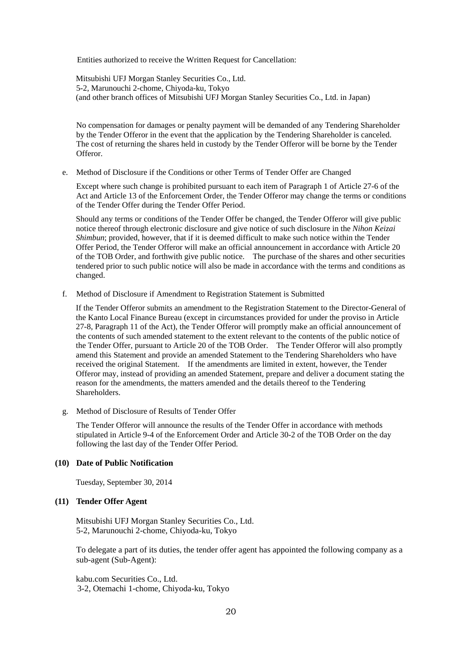Entities authorized to receive the Written Request for Cancellation:

Mitsubishi UFJ Morgan Stanley Securities Co., Ltd. 5-2, Marunouchi 2-chome, Chiyoda-ku, Tokyo (and other branch offices of Mitsubishi UFJ Morgan Stanley Securities Co., Ltd. in Japan)

No compensation for damages or penalty payment will be demanded of any Tendering Shareholder by the Tender Offeror in the event that the application by the Tendering Shareholder is canceled. The cost of returning the shares held in custody by the Tender Offeror will be borne by the Tender **Offeror** 

e. Method of Disclosure if the Conditions or other Terms of Tender Offer are Changed

Except where such change is prohibited pursuant to each item of Paragraph 1 of Article 27-6 of the Act and Article 13 of the Enforcement Order, the Tender Offeror may change the terms or conditions of the Tender Offer during the Tender Offer Period.

Should any terms or conditions of the Tender Offer be changed, the Tender Offeror will give public notice thereof through electronic disclosure and give notice of such disclosure in the *Nihon Keizai Shimbun*; provided, however, that if it is deemed difficult to make such notice within the Tender Offer Period, the Tender Offeror will make an official announcement in accordance with Article 20 of the TOB Order, and forthwith give public notice. The purchase of the shares and other securities tendered prior to such public notice will also be made in accordance with the terms and conditions as changed.

f. Method of Disclosure if Amendment to Registration Statement is Submitted

If the Tender Offeror submits an amendment to the Registration Statement to the Director-General of the Kanto Local Finance Bureau (except in circumstances provided for under the proviso in Article 27-8, Paragraph 11 of the Act), the Tender Offeror will promptly make an official announcement of the contents of such amended statement to the extent relevant to the contents of the public notice of the Tender Offer, pursuant to Article 20 of the TOB Order. The Tender Offeror will also promptly amend this Statement and provide an amended Statement to the Tendering Shareholders who have received the original Statement. If the amendments are limited in extent, however, the Tender Offeror may, instead of providing an amended Statement, prepare and deliver a document stating the reason for the amendments, the matters amended and the details thereof to the Tendering Shareholders.

g. Method of Disclosure of Results of Tender Offer

The Tender Offeror will announce the results of the Tender Offer in accordance with methods stipulated in Article 9-4 of the Enforcement Order and Article 30-2 of the TOB Order on the day following the last day of the Tender Offer Period.

# **(10) Date of Public Notification**

Tuesday, September 30, 2014

#### **(11) Tender Offer Agent**

Mitsubishi UFJ Morgan Stanley Securities Co., Ltd. 5-2, Marunouchi 2-chome, Chiyoda-ku, Tokyo

To delegate a part of its duties, the tender offer agent has appointed the following company as a sub-agent (Sub-Agent):

kabu.com Securities Co., Ltd. 3-2, Otemachi 1-chome, Chiyoda-ku, Tokyo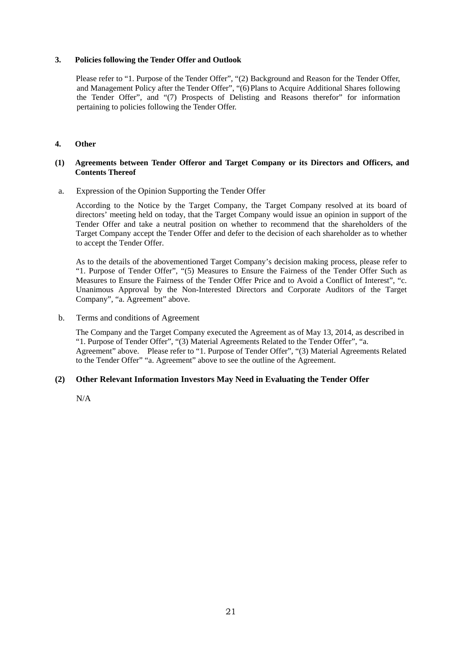## **3. Policies following the Tender Offer and Outlook**

Please refer to "1. Purpose of the Tender Offer", "(2) Background and Reason for the Tender Offer, and Management Policy after the Tender Offer", "(6) Plans to Acquire Additional Shares following the Tender Offer", and "(7) Prospects of Delisting and Reasons therefor" for information pertaining to policies following the Tender Offer.

# **4. Other**

#### **(1) Agreements between Tender Offeror and Target Company or its Directors and Officers, and Contents Thereof**

a. Expression of the Opinion Supporting the Tender Offer

According to the Notice by the Target Company, the Target Company resolved at its board of directors' meeting held on today, that the Target Company would issue an opinion in support of the Tender Offer and take a neutral position on whether to recommend that the shareholders of the Target Company accept the Tender Offer and defer to the decision of each shareholder as to whether to accept the Tender Offer.

As to the details of the abovementioned Target Company's decision making process, please refer to "1. Purpose of Tender Offer", "(5) Measures to Ensure the Fairness of the Tender Offer Such as Measures to Ensure the Fairness of the Tender Offer Price and to Avoid a Conflict of Interest", "c. Unanimous Approval by the Non-Interested Directors and Corporate Auditors of the Target Company", "a. Agreement" above.

b. Terms and conditions of Agreement

The Company and the Target Company executed the Agreement as of May 13, 2014, as described in "1. Purpose of Tender Offer", "(3) Material Agreements Related to the Tender Offer", "a. Agreement" above. Please refer to "1. Purpose of Tender Offer", "(3) Material Agreements Related to the Tender Offer" "a. Agreement" above to see the outline of the Agreement.

# **(2) Other Relevant Information Investors May Need in Evaluating the Tender Offer**

N/A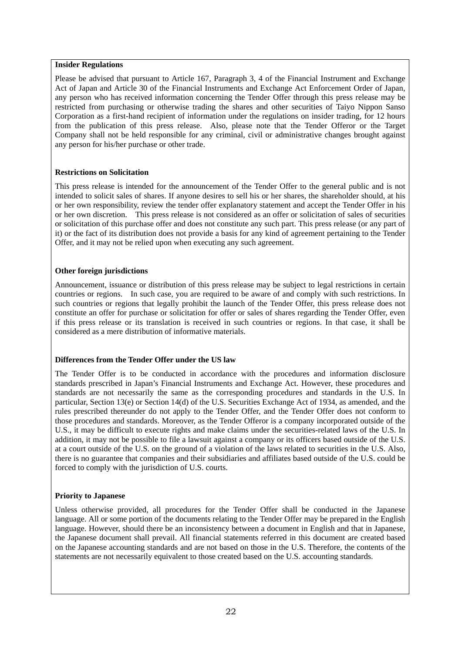#### **Insider Regulations**

Please be advised that pursuant to Article 167, Paragraph 3, 4 of the Financial Instrument and Exchange Act of Japan and Article 30 of the Financial Instruments and Exchange Act Enforcement Order of Japan, any person who has received information concerning the Tender Offer through this press release may be restricted from purchasing or otherwise trading the shares and other securities of Taiyo Nippon Sanso Corporation as a first-hand recipient of information under the regulations on insider trading, for 12 hours from the publication of this press release. Also, please note that the Tender Offeror or the Target Company shall not be held responsible for any criminal, civil or administrative changes brought against any person for his/her purchase or other trade.

# **Restrictions on Solicitation**

This press release is intended for the announcement of the Tender Offer to the general public and is not intended to solicit sales of shares. If anyone desires to sell his or her shares, the shareholder should, at his or her own responsibility, review the tender offer explanatory statement and accept the Tender Offer in his or her own discretion. This press release is not considered as an offer or solicitation of sales of securities or solicitation of this purchase offer and does not constitute any such part. This press release (or any part of it) or the fact of its distribution does not provide a basis for any kind of agreement pertaining to the Tender Offer, and it may not be relied upon when executing any such agreement.

# **Other foreign jurisdictions**

Announcement, issuance or distribution of this press release may be subject to legal restrictions in certain countries or regions. In such case, you are required to be aware of and comply with such restrictions. In such countries or regions that legally prohibit the launch of the Tender Offer, this press release does not constitute an offer for purchase or solicitation for offer or sales of shares regarding the Tender Offer, even if this press release or its translation is received in such countries or regions. In that case, it shall be considered as a mere distribution of informative materials.

# **Differences from the Tender Offer under the US law**

The Tender Offer is to be conducted in accordance with the procedures and information disclosure standards prescribed in Japan's Financial Instruments and Exchange Act. However, these procedures and standards are not necessarily the same as the corresponding procedures and standards in the U.S. In particular, Section 13(e) or Section 14(d) of the U.S. Securities Exchange Act of 1934, as amended, and the rules prescribed thereunder do not apply to the Tender Offer, and the Tender Offer does not conform to those procedures and standards. Moreover, as the Tender Offeror is a company incorporated outside of the U.S., it may be difficult to execute rights and make claims under the securities-related laws of the U.S. In addition, it may not be possible to file a lawsuit against a company or its officers based outside of the U.S. at a court outside of the U.S. on the ground of a violation of the laws related to securities in the U.S. Also, there is no guarantee that companies and their subsidiaries and affiliates based outside of the U.S. could be forced to comply with the jurisdiction of U.S. courts.

# **Priority to Japanese**

Unless otherwise provided, all procedures for the Tender Offer shall be conducted in the Japanese language. All or some portion of the documents relating to the Tender Offer may be prepared in the English language. However, should there be an inconsistency between a document in English and that in Japanese, the Japanese document shall prevail. All financial statements referred in this document are created based on the Japanese accounting standards and are not based on those in the U.S. Therefore, the contents of the statements are not necessarily equivalent to those created based on the U.S. accounting standards.